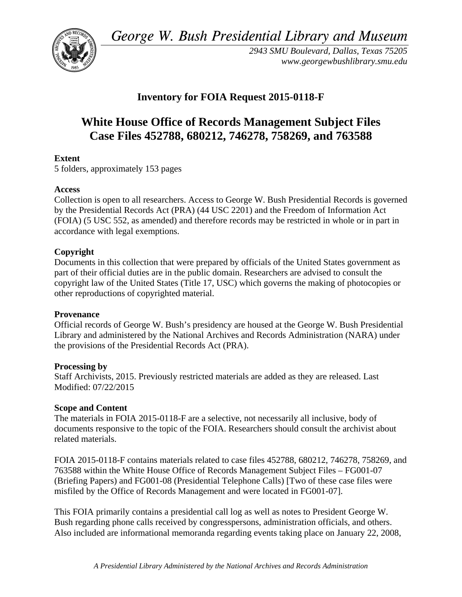*George W. Bush Presidential Library and Museum* 



*2943 SMU Boulevard, Dallas, Texas 75205 <www.georgewbushlibrary.smu.edu>* 

## **Inventory for FOIA Request 2015-0118-F**

# **White House Office of Records Management Subject Files Case Files 452788, 680212, 746278, 758269, and 763588**

### **Extent**

5 folders, approximately 153 pages

#### **Access**

Collection is open to all researchers. Access to George W. Bush Presidential Records is governed by the Presidential Records Act (PRA) (44 USC 2201) and the Freedom of Information Act (FOIA) (5 USC 552, as amended) and therefore records may be restricted in whole or in part in accordance with legal exemptions.

#### **Copyright**

Documents in this collection that were prepared by officials of the United States government as part of their official duties are in the public domain. Researchers are advised to consult the copyright law of the United States (Title 17, USC) which governs the making of photocopies or other reproductions of copyrighted material.

#### **Provenance**

Official records of George W. Bush's presidency are housed at the George W. Bush Presidential Library and administered by the National Archives and Records Administration (NARA) under the provisions of the Presidential Records Act (PRA).

#### **Processing by**

Staff Archivists, 2015. Previously restricted materials are added as they are released. Last Modified: 07/22/2015

#### **Scope and Content**

The materials in FOIA 2015-0118-F are a selective, not necessarily all inclusive, body of documents responsive to the topic of the FOIA. Researchers should consult the archivist about related materials.

FOIA 2015-0118-F contains materials related to case files 452788, 680212, 746278, 758269, and 763588 within the White House Office of Records Management Subject Files – FG001-07 (Briefing Papers) and FG001-08 (Presidential Telephone Calls) [Two of these case files were misfiled by the Office of Records Management and were located in FG001-07].

This FOIA primarily contains a presidential call log as well as notes to President George W. Bush regarding phone calls received by congresspersons, administration officials, and others. Also included are informational memoranda regarding events taking place on January 22, 2008,